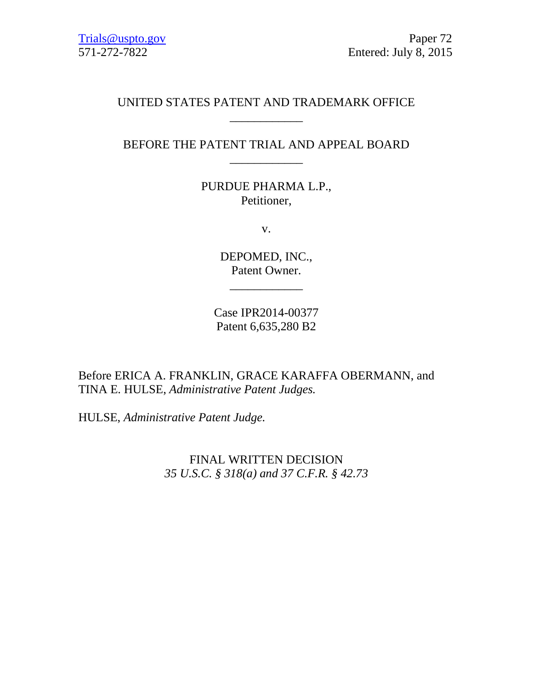# UNITED STATES PATENT AND TRADEMARK OFFICE \_\_\_\_\_\_\_\_\_\_\_\_

## BEFORE THE PATENT TRIAL AND APPEAL BOARD \_\_\_\_\_\_\_\_\_\_\_\_

PURDUE PHARMA L.P., Petitioner,

v.

DEPOMED, INC., Patent Owner.

\_\_\_\_\_\_\_\_\_\_\_\_

Case IPR2014-00377 Patent 6,635,280 B2

Before ERICA A. FRANKLIN, GRACE KARAFFA OBERMANN, and TINA E. HULSE, *Administrative Patent Judges.*

HULSE, *Administrative Patent Judge.*

FINAL WRITTEN DECISION *35 U.S.C. § 318(a) and 37 C.F.R. § 42.73*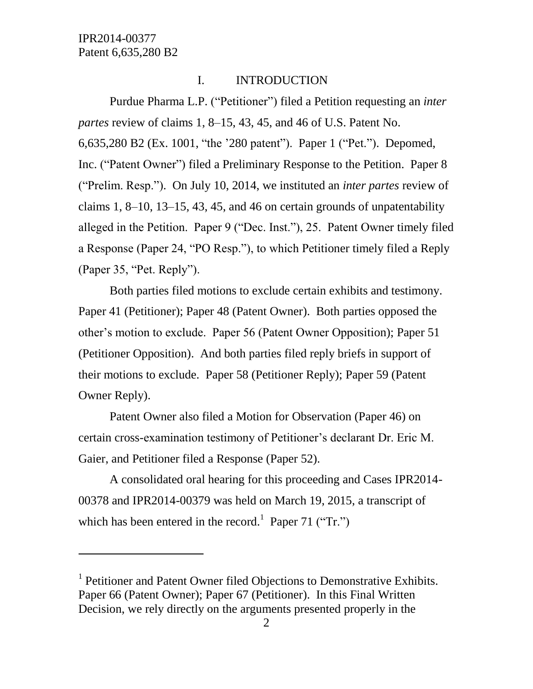l

## I. INTRODUCTION

Purdue Pharma L.P. ("Petitioner") filed a Petition requesting an *inter partes* review of claims 1, 8–15, 43, 45, and 46 of U.S. Patent No. 6,635,280 B2 (Ex. 1001, "the '280 patent"). Paper 1 ("Pet."). Depomed, Inc. ("Patent Owner") filed a Preliminary Response to the Petition. Paper 8 ("Prelim. Resp."). On July 10, 2014, we instituted an *inter partes* review of claims 1, 8–10, 13–15, 43, 45, and 46 on certain grounds of unpatentability alleged in the Petition. Paper 9 ("Dec. Inst."), 25. Patent Owner timely filed a Response (Paper 24, "PO Resp."), to which Petitioner timely filed a Reply (Paper 35, "Pet. Reply").

Both parties filed motions to exclude certain exhibits and testimony. Paper 41 (Petitioner); Paper 48 (Patent Owner). Both parties opposed the other's motion to exclude. Paper 56 (Patent Owner Opposition); Paper 51 (Petitioner Opposition). And both parties filed reply briefs in support of their motions to exclude. Paper 58 (Petitioner Reply); Paper 59 (Patent Owner Reply).

Patent Owner also filed a Motion for Observation (Paper 46) on certain cross-examination testimony of Petitioner's declarant Dr. Eric M. Gaier, and Petitioner filed a Response (Paper 52).

A consolidated oral hearing for this proceeding and Cases IPR2014- 00378 and IPR2014-00379 was held on March 19, 2015, a transcript of which has been entered in the record.<sup>1</sup> Paper 71 ("Tr.")

<sup>&</sup>lt;sup>1</sup> Petitioner and Patent Owner filed Objections to Demonstrative Exhibits. Paper 66 (Patent Owner); Paper 67 (Petitioner). In this Final Written Decision, we rely directly on the arguments presented properly in the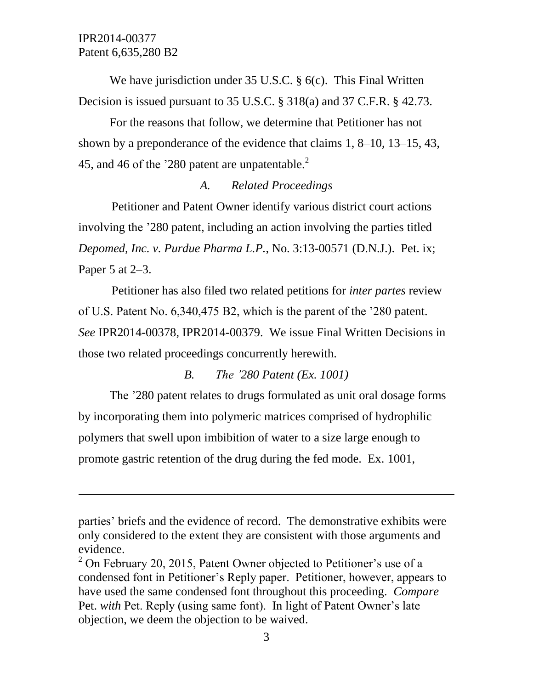$\overline{a}$ 

We have jurisdiction under 35 U.S.C. § 6(c). This Final Written Decision is issued pursuant to 35 U.S.C. § 318(a) and 37 C.F.R. § 42.73.

For the reasons that follow, we determine that Petitioner has not shown by a preponderance of the evidence that claims 1, 8–10, 13–15, 43, 45, and 46 of the '280 patent are unpatentable. $^{2}$ 

# *A. Related Proceedings*

Petitioner and Patent Owner identify various district court actions involving the '280 patent, including an action involving the parties titled *Depomed, Inc. v. Purdue Pharma L.P.*, No. 3:13-00571 (D.N.J.). Pet. ix; Paper 5 at 2–3.

Petitioner has also filed two related petitions for *inter partes* review of U.S. Patent No. 6,340,475 B2, which is the parent of the '280 patent. *See* IPR2014-00378, IPR2014-00379. We issue Final Written Decisions in those two related proceedings concurrently herewith.

## *B. The '280 Patent (Ex. 1001)*

The '280 patent relates to drugs formulated as unit oral dosage forms by incorporating them into polymeric matrices comprised of hydrophilic polymers that swell upon imbibition of water to a size large enough to promote gastric retention of the drug during the fed mode. Ex. 1001,

parties' briefs and the evidence of record. The demonstrative exhibits were only considered to the extent they are consistent with those arguments and evidence.

 $2$  On February 20, 2015, Patent Owner objected to Petitioner's use of a condensed font in Petitioner's Reply paper. Petitioner, however, appears to have used the same condensed font throughout this proceeding. *Compare*  Pet. *with* Pet. Reply (using same font). In light of Patent Owner's late objection, we deem the objection to be waived.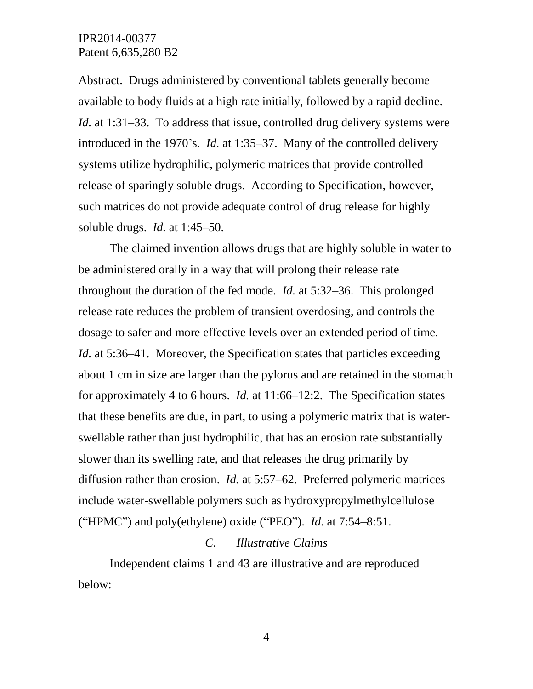Abstract. Drugs administered by conventional tablets generally become available to body fluids at a high rate initially, followed by a rapid decline. *Id.* at 1:31–33. To address that issue, controlled drug delivery systems were introduced in the 1970's. *Id.* at 1:35–37. Many of the controlled delivery systems utilize hydrophilic, polymeric matrices that provide controlled release of sparingly soluble drugs. According to Specification, however, such matrices do not provide adequate control of drug release for highly soluble drugs. *Id.* at 1:45–50.

The claimed invention allows drugs that are highly soluble in water to be administered orally in a way that will prolong their release rate throughout the duration of the fed mode. *Id.* at 5:32–36. This prolonged release rate reduces the problem of transient overdosing, and controls the dosage to safer and more effective levels over an extended period of time. *Id.* at 5:36–41. Moreover, the Specification states that particles exceeding about 1 cm in size are larger than the pylorus and are retained in the stomach for approximately 4 to 6 hours. *Id.* at 11:66–12:2. The Specification states that these benefits are due, in part, to using a polymeric matrix that is waterswellable rather than just hydrophilic, that has an erosion rate substantially slower than its swelling rate, and that releases the drug primarily by diffusion rather than erosion. *Id.* at 5:57–62. Preferred polymeric matrices include water-swellable polymers such as hydroxypropylmethylcellulose ("HPMC") and poly(ethylene) oxide ("PEO"). *Id.* at 7:54–8:51.

#### *C. Illustrative Claims*

Independent claims 1 and 43 are illustrative and are reproduced below: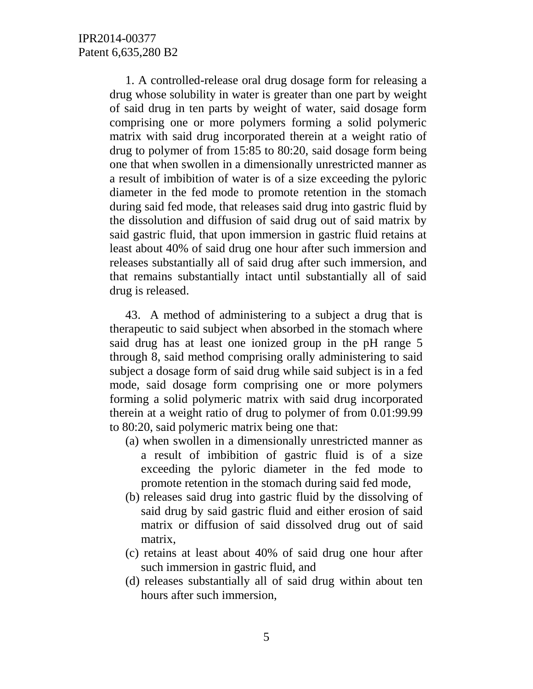1. A controlled-release oral drug dosage form for releasing a drug whose solubility in water is greater than one part by weight of said drug in ten parts by weight of water, said dosage form comprising one or more polymers forming a solid polymeric matrix with said drug incorporated therein at a weight ratio of drug to polymer of from 15:85 to 80:20, said dosage form being one that when swollen in a dimensionally unrestricted manner as a result of imbibition of water is of a size exceeding the pyloric diameter in the fed mode to promote retention in the stomach during said fed mode, that releases said drug into gastric fluid by the dissolution and diffusion of said drug out of said matrix by said gastric fluid, that upon immersion in gastric fluid retains at least about 40% of said drug one hour after such immersion and releases substantially all of said drug after such immersion, and that remains substantially intact until substantially all of said drug is released.

43. A method of administering to a subject a drug that is therapeutic to said subject when absorbed in the stomach where said drug has at least one ionized group in the pH range 5 through 8, said method comprising orally administering to said subject a dosage form of said drug while said subject is in a fed mode, said dosage form comprising one or more polymers forming a solid polymeric matrix with said drug incorporated therein at a weight ratio of drug to polymer of from 0.01:99.99 to 80:20, said polymeric matrix being one that:

- (a) when swollen in a dimensionally unrestricted manner as a result of imbibition of gastric fluid is of a size exceeding the pyloric diameter in the fed mode to promote retention in the stomach during said fed mode,
- (b) releases said drug into gastric fluid by the dissolving of said drug by said gastric fluid and either erosion of said matrix or diffusion of said dissolved drug out of said matrix,
- (c) retains at least about 40% of said drug one hour after such immersion in gastric fluid, and
- (d) releases substantially all of said drug within about ten hours after such immersion,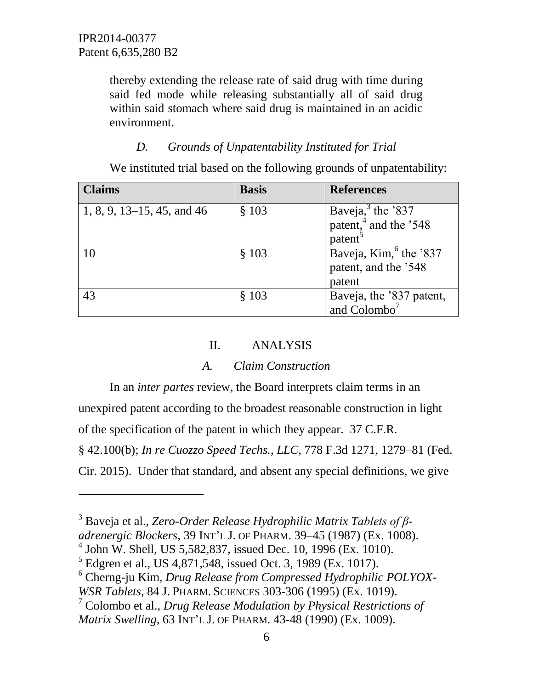$\overline{a}$ 

thereby extending the release rate of said drug with time during said fed mode while releasing substantially all of said drug within said stomach where said drug is maintained in an acidic environment.

# *D. Grounds of Unpatentability Instituted for Trial*

We instituted trial based on the following grounds of unpatentability:

| <b>Claims</b>              | <b>Basis</b> | <b>References</b>                                                                      |
|----------------------------|--------------|----------------------------------------------------------------------------------------|
| 1, 8, 9, 13–15, 45, and 46 | \$103        | Baveja, $3$ the $337$<br>patent, <sup>4</sup> and the '548<br>$\bar{\text{pattern}}^5$ |
| 10                         | \$103        | Baveja, Kim, the '837<br>patent, and the '548<br>patent                                |
| 43                         | \$103        | Baveja, the '837 patent,<br>and $Colombo7$                                             |

# II. ANALYSIS

# *A. Claim Construction*

In an *inter partes* review, the Board interprets claim terms in an unexpired patent according to the broadest reasonable construction in light of the specification of the patent in which they appear. 37 C.F.R. § 42.100(b); *In re Cuozzo Speed Techs., LLC*, 778 F.3d 1271, 1279–81 (Fed. Cir. 2015). Under that standard, and absent any special definitions, we give

<sup>3</sup> Baveja et al., *Zero-Order Release Hydrophilic Matrix Tablets of β-*

*adrenergic Blockers*, 39 INT'L J. OF PHARM. 39–45 (1987) (Ex. 1008).

<sup>4</sup> John W. Shell, US 5,582,837, issued Dec. 10, 1996 (Ex. 1010).

 $<sup>5</sup>$  Edgren et al., US 4,871,548, issued Oct. 3, 1989 (Ex. 1017).</sup>

<sup>6</sup> Cherng-ju Kim, *Drug Release from Compressed Hydrophilic POLYOX-*

*WSR Tablets*, 84 J. PHARM. SCIENCES 303-306 (1995) (Ex. 1019).

<sup>7</sup> Colombo et al., *Drug Release Modulation by Physical Restrictions of Matrix Swelling*, 63 INT'L J. OF PHARM. 43-48 (1990) (Ex. 1009).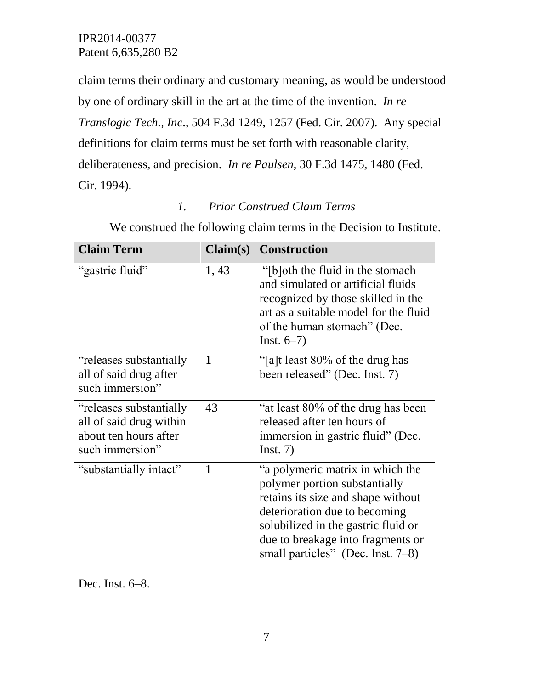claim terms their ordinary and customary meaning, as would be understood by one of ordinary skill in the art at the time of the invention. *In re Translogic Tech., Inc*., 504 F.3d 1249, 1257 (Fed. Cir. 2007). Any special definitions for claim terms must be set forth with reasonable clarity, deliberateness, and precision. *In re Paulsen*, 30 F.3d 1475, 1480 (Fed. Cir. 1994).

# *1. Prior Construed Claim Terms*

| <b>Claim Term</b>                                                                               | Claim(s)     | <b>Construction</b>                                                                                                                                                                                                                                          |
|-------------------------------------------------------------------------------------------------|--------------|--------------------------------------------------------------------------------------------------------------------------------------------------------------------------------------------------------------------------------------------------------------|
| "gastric fluid"                                                                                 | 1, 43        | "[b]oth the fluid in the stomach"<br>and simulated or artificial fluids<br>recognized by those skilled in the<br>art as a suitable model for the fluid<br>of the human stomach" (Dec.<br>$Inst. 6-7)$                                                        |
| "releases substantially"<br>all of said drug after<br>such immersion"                           | $\mathbf{1}$ | "[a]t least 80% of the drug has<br>been released" (Dec. Inst. 7)                                                                                                                                                                                             |
| "releases substantially"<br>all of said drug within<br>about ten hours after<br>such immersion" | 43           | "at least 80% of the drug has been<br>released after ten hours of<br>immersion in gastric fluid" (Dec.<br>Inst. 7)                                                                                                                                           |
| "substantially intact"                                                                          | $\mathbf{1}$ | "a polymeric matrix in which the<br>polymer portion substantially<br>retains its size and shape without<br>deterioration due to becoming<br>solubilized in the gastric fluid or<br>due to breakage into fragments or<br>small particles" (Dec. Inst. $7-8$ ) |

We construed the following claim terms in the Decision to Institute.

Dec. Inst. 6–8.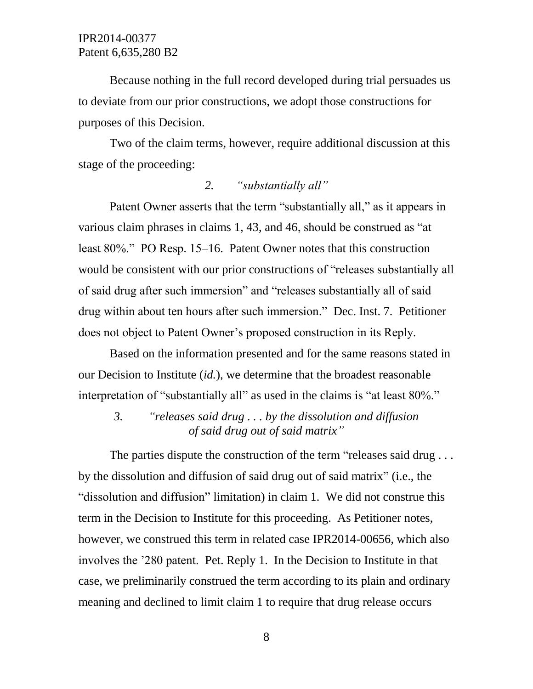Because nothing in the full record developed during trial persuades us to deviate from our prior constructions, we adopt those constructions for purposes of this Decision.

Two of the claim terms, however, require additional discussion at this stage of the proceeding:

#### *2. "substantially all"*

Patent Owner asserts that the term "substantially all," as it appears in various claim phrases in claims 1, 43, and 46, should be construed as "at least 80%." PO Resp. 15–16. Patent Owner notes that this construction would be consistent with our prior constructions of "releases substantially all of said drug after such immersion" and "releases substantially all of said drug within about ten hours after such immersion." Dec. Inst. 7. Petitioner does not object to Patent Owner's proposed construction in its Reply.

Based on the information presented and for the same reasons stated in our Decision to Institute (*id.*), we determine that the broadest reasonable interpretation of "substantially all" as used in the claims is "at least 80%."

*3. "releases said drug . . . by the dissolution and diffusion of said drug out of said matrix"*

The parties dispute the construction of the term "releases said drug... by the dissolution and diffusion of said drug out of said matrix" (i.e., the "dissolution and diffusion" limitation) in claim 1. We did not construe this term in the Decision to Institute for this proceeding. As Petitioner notes, however, we construed this term in related case IPR2014-00656, which also involves the '280 patent. Pet. Reply 1. In the Decision to Institute in that case, we preliminarily construed the term according to its plain and ordinary meaning and declined to limit claim 1 to require that drug release occurs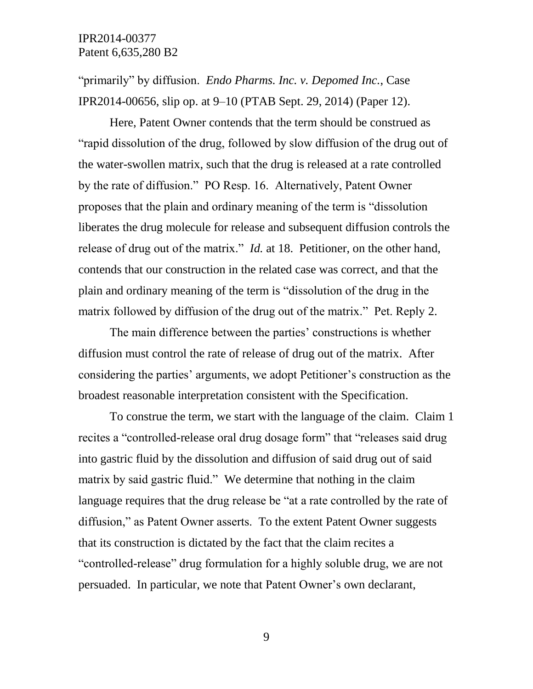"primarily" by diffusion. *Endo Pharms. Inc. v. Depomed Inc.*, Case IPR2014-00656, slip op. at 9–10 (PTAB Sept. 29, 2014) (Paper 12).

Here, Patent Owner contends that the term should be construed as "rapid dissolution of the drug, followed by slow diffusion of the drug out of the water-swollen matrix, such that the drug is released at a rate controlled by the rate of diffusion." PO Resp. 16. Alternatively, Patent Owner proposes that the plain and ordinary meaning of the term is "dissolution liberates the drug molecule for release and subsequent diffusion controls the release of drug out of the matrix." *Id.* at 18. Petitioner, on the other hand, contends that our construction in the related case was correct, and that the plain and ordinary meaning of the term is "dissolution of the drug in the matrix followed by diffusion of the drug out of the matrix." Pet. Reply 2.

The main difference between the parties' constructions is whether diffusion must control the rate of release of drug out of the matrix. After considering the parties' arguments, we adopt Petitioner's construction as the broadest reasonable interpretation consistent with the Specification.

To construe the term, we start with the language of the claim. Claim 1 recites a "controlled-release oral drug dosage form" that "releases said drug into gastric fluid by the dissolution and diffusion of said drug out of said matrix by said gastric fluid." We determine that nothing in the claim language requires that the drug release be "at a rate controlled by the rate of diffusion," as Patent Owner asserts. To the extent Patent Owner suggests that its construction is dictated by the fact that the claim recites a "controlled-release" drug formulation for a highly soluble drug, we are not persuaded. In particular, we note that Patent Owner's own declarant,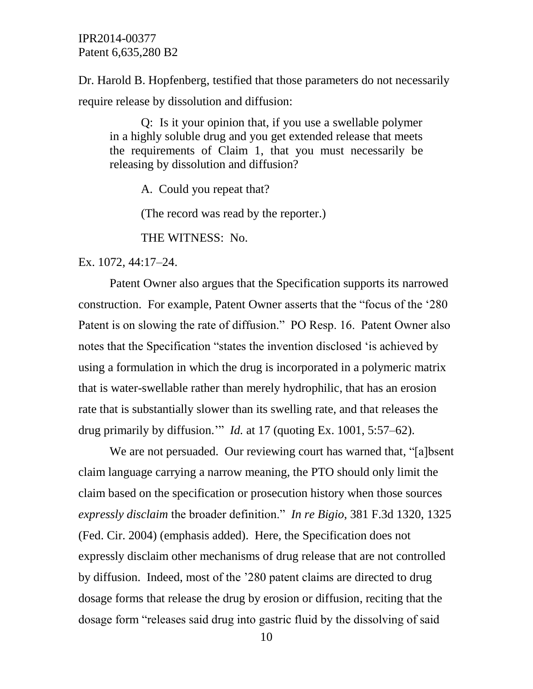Dr. Harold B. Hopfenberg, testified that those parameters do not necessarily require release by dissolution and diffusion:

Q: Is it your opinion that, if you use a swellable polymer in a highly soluble drug and you get extended release that meets the requirements of Claim 1, that you must necessarily be releasing by dissolution and diffusion?

A. Could you repeat that?

(The record was read by the reporter.)

THE WITNESS: No.

Ex. 1072, 44:17–24.

Patent Owner also argues that the Specification supports its narrowed construction. For example, Patent Owner asserts that the "focus of the '280 Patent is on slowing the rate of diffusion." PO Resp. 16. Patent Owner also notes that the Specification "states the invention disclosed 'is achieved by using a formulation in which the drug is incorporated in a polymeric matrix that is water-swellable rather than merely hydrophilic, that has an erosion rate that is substantially slower than its swelling rate, and that releases the drug primarily by diffusion.'" *Id.* at 17 (quoting Ex. 1001, 5:57–62).

We are not persuaded. Our reviewing court has warned that, "albsent" claim language carrying a narrow meaning, the PTO should only limit the claim based on the specification or prosecution history when those sources *expressly disclaim* the broader definition." *In re Bigio*, 381 F.3d 1320, 1325 (Fed. Cir. 2004) (emphasis added). Here, the Specification does not expressly disclaim other mechanisms of drug release that are not controlled by diffusion. Indeed, most of the '280 patent claims are directed to drug dosage forms that release the drug by erosion or diffusion, reciting that the dosage form "releases said drug into gastric fluid by the dissolving of said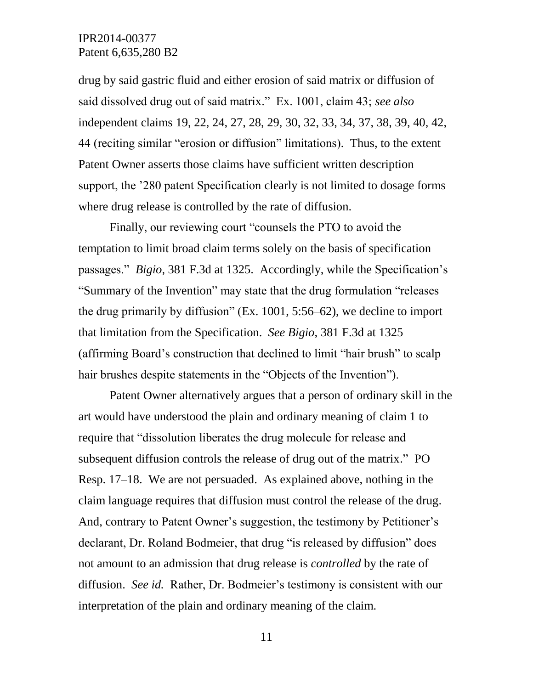drug by said gastric fluid and either erosion of said matrix or diffusion of said dissolved drug out of said matrix." Ex. 1001, claim 43; *see also*  independent claims 19, 22, 24, 27, 28, 29, 30, 32, 33, 34, 37, 38, 39, 40, 42, 44 (reciting similar "erosion or diffusion" limitations). Thus, to the extent Patent Owner asserts those claims have sufficient written description support, the '280 patent Specification clearly is not limited to dosage forms where drug release is controlled by the rate of diffusion.

Finally, our reviewing court "counsels the PTO to avoid the temptation to limit broad claim terms solely on the basis of specification passages." *Bigio*, 381 F.3d at 1325.Accordingly, while the Specification's "Summary of the Invention" may state that the drug formulation "releases the drug primarily by diffusion" (Ex. 1001, 5:56–62), we decline to import that limitation from the Specification. *See Bigio*, 381 F.3d at 1325 (affirming Board's construction that declined to limit "hair brush" to scalp hair brushes despite statements in the "Objects of the Invention").

Patent Owner alternatively argues that a person of ordinary skill in the art would have understood the plain and ordinary meaning of claim 1 to require that "dissolution liberates the drug molecule for release and subsequent diffusion controls the release of drug out of the matrix." PO Resp. 17–18. We are not persuaded. As explained above, nothing in the claim language requires that diffusion must control the release of the drug. And, contrary to Patent Owner's suggestion, the testimony by Petitioner's declarant, Dr. Roland Bodmeier, that drug "is released by diffusion" does not amount to an admission that drug release is *controlled* by the rate of diffusion. *See id.* Rather, Dr. Bodmeier's testimony is consistent with our interpretation of the plain and ordinary meaning of the claim.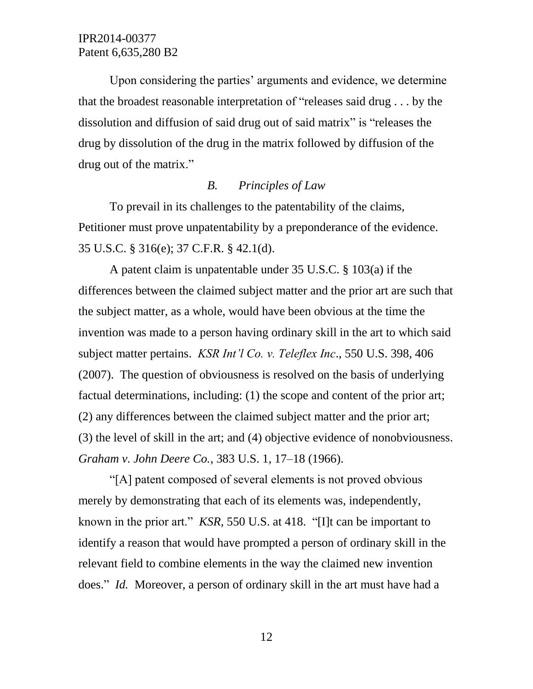Upon considering the parties' arguments and evidence, we determine that the broadest reasonable interpretation of "releases said drug . . . by the dissolution and diffusion of said drug out of said matrix" is "releases the drug by dissolution of the drug in the matrix followed by diffusion of the drug out of the matrix."

#### *B. Principles of Law*

To prevail in its challenges to the patentability of the claims, Petitioner must prove unpatentability by a preponderance of the evidence. 35 U.S.C. § 316(e); 37 C.F.R. § 42.1(d).

A patent claim is unpatentable under 35 U.S.C. § 103(a) if the differences between the claimed subject matter and the prior art are such that the subject matter, as a whole, would have been obvious at the time the invention was made to a person having ordinary skill in the art to which said subject matter pertains. *KSR Int'l Co. v. Teleflex Inc*., 550 U.S. 398, 406 (2007). The question of obviousness is resolved on the basis of underlying factual determinations, including: (1) the scope and content of the prior art; (2) any differences between the claimed subject matter and the prior art; (3) the level of skill in the art; and (4) objective evidence of nonobviousness. *Graham v. John Deere Co.*, 383 U.S. 1, 17–18 (1966).

"[A] patent composed of several elements is not proved obvious merely by demonstrating that each of its elements was, independently, known in the prior art." *KSR*, 550 U.S. at 418. "[I]t can be important to identify a reason that would have prompted a person of ordinary skill in the relevant field to combine elements in the way the claimed new invention does." *Id.* Moreover, a person of ordinary skill in the art must have had a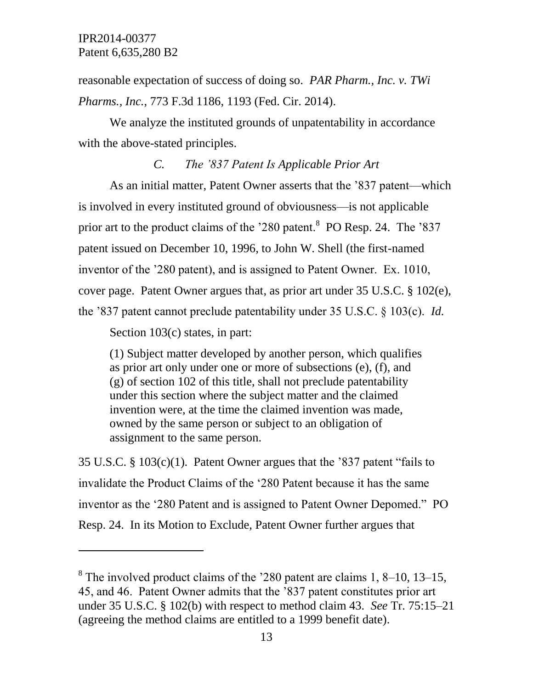reasonable expectation of success of doing so. *PAR Pharm., Inc. v. TWi Pharms., Inc.*, 773 F.3d 1186, 1193 (Fed. Cir. 2014).

We analyze the instituted grounds of unpatentability in accordance with the above-stated principles.

## *C. The '837 Patent Is Applicable Prior Art*

As an initial matter, Patent Owner asserts that the '837 patent—which is involved in every instituted ground of obviousness—is not applicable prior art to the product claims of the '280 patent.<sup>8</sup> PO Resp. 24. The '837 patent issued on December 10, 1996, to John W. Shell (the first-named inventor of the '280 patent), and is assigned to Patent Owner. Ex. 1010, cover page. Patent Owner argues that, as prior art under 35 U.S.C. § 102(e), the '837 patent cannot preclude patentability under 35 U.S.C. § 103(c). *Id.*

Section 103(c) states, in part:

 $\overline{a}$ 

(1) Subject matter developed by another person, which qualifies as prior art only under one or more of subsections (e), (f), and (g) of section 102 of this title, shall not preclude patentability under this section where the subject matter and the claimed invention were, at the time the claimed invention was made, owned by the same person or subject to an obligation of assignment to the same person.

35 U.S.C. § 103(c)(1). Patent Owner argues that the '837 patent "fails to invalidate the Product Claims of the '280 Patent because it has the same inventor as the '280 Patent and is assigned to Patent Owner Depomed." PO Resp. 24. In its Motion to Exclude, Patent Owner further argues that

<sup>&</sup>lt;sup>8</sup> The involved product claims of the '280 patent are claims 1, 8–10, 13–15, 45, and 46. Patent Owner admits that the '837 patent constitutes prior art under 35 U.S.C. § 102(b) with respect to method claim 43. *See* Tr. 75:15–21 (agreeing the method claims are entitled to a 1999 benefit date).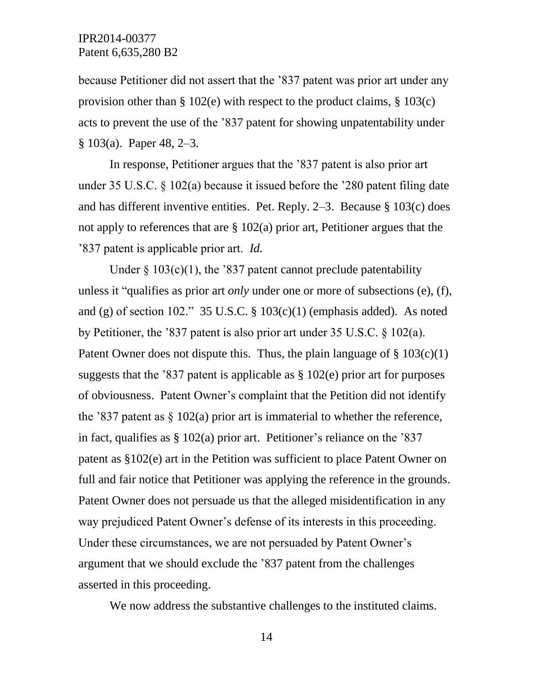because Petitioner did not assert that the '837 patent was prior art under any provision other than  $\S 102(e)$  with respect to the product claims,  $\S 103(c)$ acts to prevent the use of the '837 patent for showing unpatentability under § 103(a). Paper 48, 2–3.

In response, Petitioner argues that the '837 patent is also prior art under 35 U.S.C. § 102(a) because it issued before the '280 patent filing date and has different inventive entities. Pet. Reply. 2–3. Because § 103(c) does not apply to references that are § 102(a) prior art, Petitioner argues that the '837 patent is applicable prior art. *Id.*

Under  $\S$  103(c)(1), the '837 patent cannot preclude patentability unless it "qualifies as prior art *only* under one or more of subsections (e), (f), and (g) of section 102." 35 U.S.C.  $\S$  103(c)(1) (emphasis added). As noted by Petitioner, the '837 patent is also prior art under 35 U.S.C. § 102(a). Patent Owner does not dispute this. Thus, the plain language of  $\S 103(c)(1)$ suggests that the '837 patent is applicable as  $\S 102(e)$  prior art for purposes of obviousness. Patent Owner's complaint that the Petition did not identify the '837 patent as  $\S$  102(a) prior art is immaterial to whether the reference, in fact, qualifies as  $\S 102(a)$  prior art. Petitioner's reliance on the '837 patent as §102(e) art in the Petition was sufficient to place Patent Owner on full and fair notice that Petitioner was applying the reference in the grounds. Patent Owner does not persuade us that the alleged misidentification in any way prejudiced Patent Owner's defense of its interests in this proceeding. Under these circumstances, we are not persuaded by Patent Owner's argument that we should exclude the '837 patent from the challenges asserted in this proceeding.

We now address the substantive challenges to the instituted claims.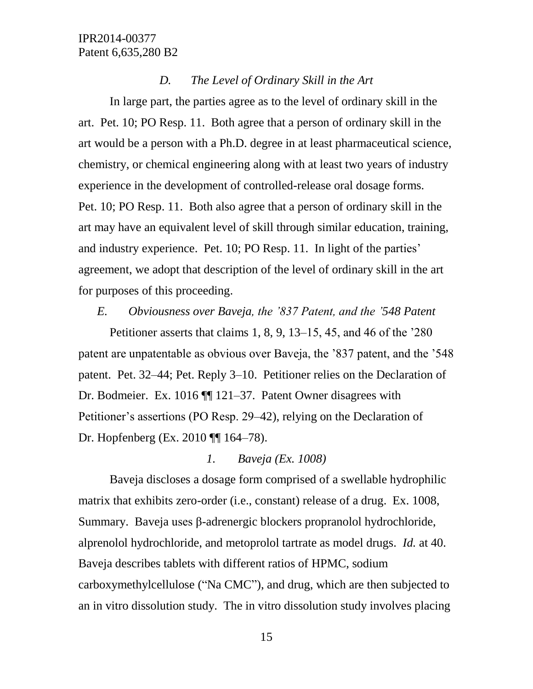### *D. The Level of Ordinary Skill in the Art*

In large part, the parties agree as to the level of ordinary skill in the art. Pet. 10; PO Resp. 11. Both agree that a person of ordinary skill in the art would be a person with a Ph.D. degree in at least pharmaceutical science, chemistry, or chemical engineering along with at least two years of industry experience in the development of controlled-release oral dosage forms. Pet. 10; PO Resp. 11. Both also agree that a person of ordinary skill in the art may have an equivalent level of skill through similar education, training, and industry experience. Pet. 10; PO Resp. 11. In light of the parties' agreement, we adopt that description of the level of ordinary skill in the art for purposes of this proceeding.

## *E. Obviousness over Baveja, the '837 Patent, and the '548 Patent*

Petitioner asserts that claims 1, 8, 9, 13–15, 45, and 46 of the '280 patent are unpatentable as obvious over Baveja, the '837 patent, and the '548 patent. Pet. 32–44; Pet. Reply 3–10. Petitioner relies on the Declaration of Dr. Bodmeier. Ex. 1016 ¶¶ 121–37. Patent Owner disagrees with Petitioner's assertions (PO Resp. 29–42), relying on the Declaration of Dr. Hopfenberg (Ex. 2010 ¶¶ 164–78).

### *1. Baveja (Ex. 1008)*

Baveja discloses a dosage form comprised of a swellable hydrophilic matrix that exhibits zero-order (i.e., constant) release of a drug. Ex. 1008, Summary. Baveja uses β-adrenergic blockers propranolol hydrochloride, alprenolol hydrochloride, and metoprolol tartrate as model drugs. *Id.* at 40. Baveja describes tablets with different ratios of HPMC, sodium carboxymethylcellulose ("Na CMC"), and drug, which are then subjected to an in vitro dissolution study. The in vitro dissolution study involves placing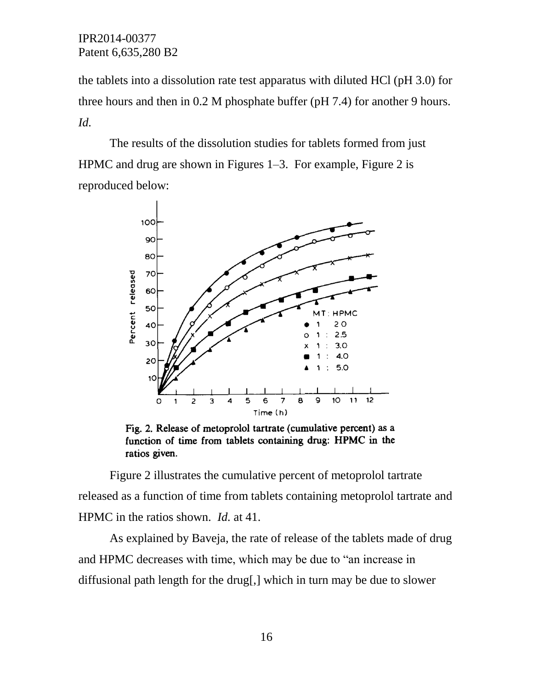the tablets into a dissolution rate test apparatus with diluted HCl (pH 3.0) for three hours and then in 0.2 M phosphate buffer (pH 7.4) for another 9 hours. *Id.*

The results of the dissolution studies for tablets formed from just HPMC and drug are shown in Figures 1–3. For example, Figure 2 is reproduced below:



Fig. 2. Release of metoprolol tartrate (cumulative percent) as a function of time from tablets containing drug: HPMC in the ratios given.

Figure 2 illustrates the cumulative percent of metoprolol tartrate released as a function of time from tablets containing metoprolol tartrate and HPMC in the ratios shown. *Id.* at 41.

As explained by Baveja, the rate of release of the tablets made of drug and HPMC decreases with time, which may be due to "an increase in diffusional path length for the drug[,] which in turn may be due to slower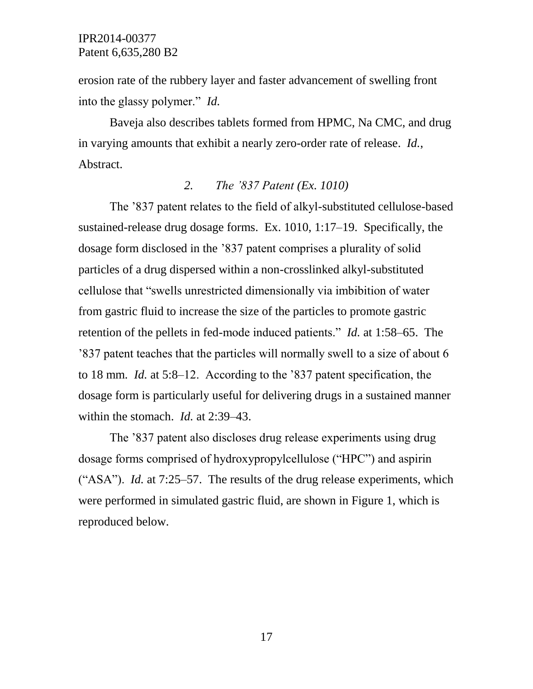erosion rate of the rubbery layer and faster advancement of swelling front into the glassy polymer." *Id.*

Baveja also describes tablets formed from HPMC, Na CMC, and drug in varying amounts that exhibit a nearly zero-order rate of release. *Id.*, Abstract.

### *2. The '837 Patent (Ex. 1010)*

The '837 patent relates to the field of alkyl-substituted cellulose-based sustained-release drug dosage forms. Ex. 1010, 1:17–19. Specifically, the dosage form disclosed in the '837 patent comprises a plurality of solid particles of a drug dispersed within a non-crosslinked alkyl-substituted cellulose that "swells unrestricted dimensionally via imbibition of water from gastric fluid to increase the size of the particles to promote gastric retention of the pellets in fed-mode induced patients." *Id.* at 1:58–65. The '837 patent teaches that the particles will normally swell to a size of about 6 to 18 mm. *Id.* at 5:8–12. According to the '837 patent specification, the dosage form is particularly useful for delivering drugs in a sustained manner within the stomach. *Id.* at 2:39–43.

The '837 patent also discloses drug release experiments using drug dosage forms comprised of hydroxypropylcellulose ("HPC") and aspirin ("ASA"). *Id.* at 7:25–57. The results of the drug release experiments, which were performed in simulated gastric fluid, are shown in Figure 1, which is reproduced below.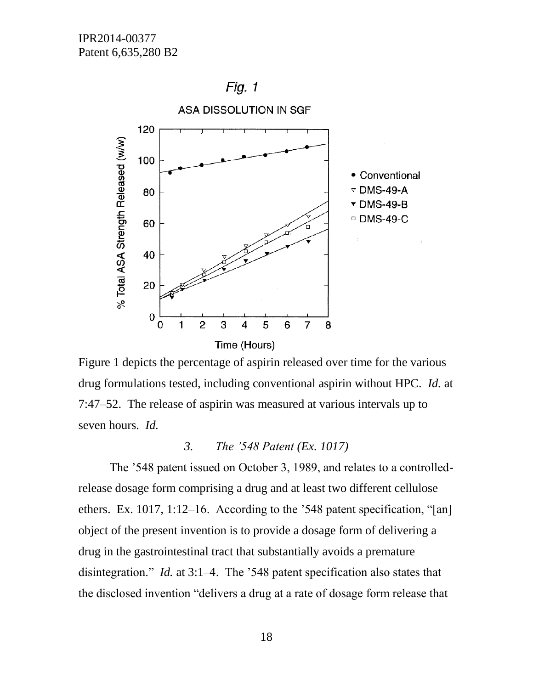Fig.  $1$ 



Figure 1 depicts the percentage of aspirin released over time for the various drug formulations tested, including conventional aspirin without HPC. *Id.* at 7:47–52. The release of aspirin was measured at various intervals up to seven hours. *Id.*

## *3. The '548 Patent (Ex. 1017)*

The '548 patent issued on October 3, 1989, and relates to a controlledrelease dosage form comprising a drug and at least two different cellulose ethers. Ex. 1017, 1:12–16. According to the '548 patent specification, "[an] object of the present invention is to provide a dosage form of delivering a drug in the gastrointestinal tract that substantially avoids a premature disintegration." *Id.* at 3:1–4. The '548 patent specification also states that the disclosed invention "delivers a drug at a rate of dosage form release that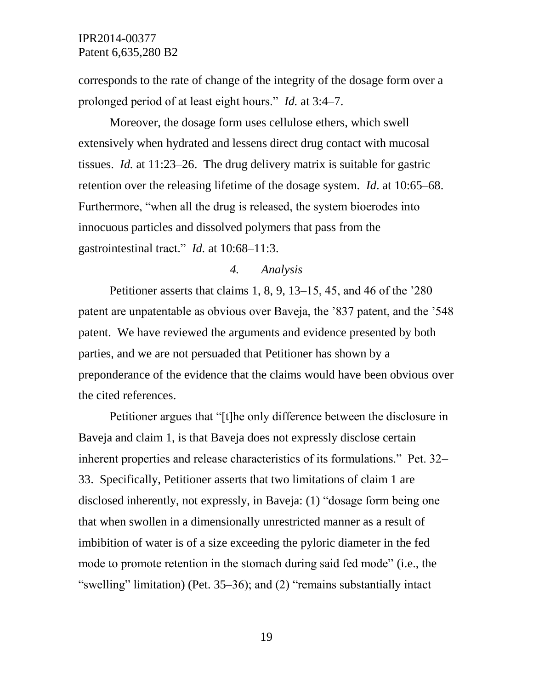corresponds to the rate of change of the integrity of the dosage form over a prolonged period of at least eight hours." *Id.* at 3:4–7.

Moreover, the dosage form uses cellulose ethers, which swell extensively when hydrated and lessens direct drug contact with mucosal tissues. *Id.* at 11:23–26. The drug delivery matrix is suitable for gastric retention over the releasing lifetime of the dosage system. *Id*. at 10:65–68. Furthermore, "when all the drug is released, the system bioerodes into innocuous particles and dissolved polymers that pass from the gastrointestinal tract." *Id.* at 10:68–11:3.

## *4. Analysis*

Petitioner asserts that claims 1, 8, 9, 13–15, 45, and 46 of the '280 patent are unpatentable as obvious over Baveja, the '837 patent, and the '548 patent. We have reviewed the arguments and evidence presented by both parties, and we are not persuaded that Petitioner has shown by a preponderance of the evidence that the claims would have been obvious over the cited references.

Petitioner argues that "[t]he only difference between the disclosure in Baveja and claim 1, is that Baveja does not expressly disclose certain inherent properties and release characteristics of its formulations." Pet. 32– 33. Specifically, Petitioner asserts that two limitations of claim 1 are disclosed inherently, not expressly, in Baveja: (1) "dosage form being one that when swollen in a dimensionally unrestricted manner as a result of imbibition of water is of a size exceeding the pyloric diameter in the fed mode to promote retention in the stomach during said fed mode" (i.e., the "swelling" limitation) (Pet. 35–36); and (2) "remains substantially intact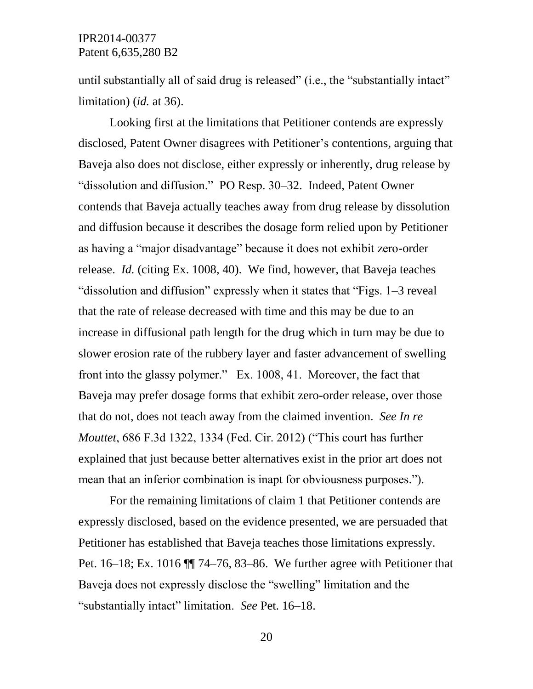until substantially all of said drug is released" (i.e., the "substantially intact" limitation) (*id.* at 36).

Looking first at the limitations that Petitioner contends are expressly disclosed, Patent Owner disagrees with Petitioner's contentions, arguing that Baveja also does not disclose, either expressly or inherently, drug release by "dissolution and diffusion." PO Resp. 30–32. Indeed, Patent Owner contends that Baveja actually teaches away from drug release by dissolution and diffusion because it describes the dosage form relied upon by Petitioner as having a "major disadvantage" because it does not exhibit zero-order release. *Id.* (citing Ex. 1008, 40). We find, however, that Baveja teaches "dissolution and diffusion" expressly when it states that "Figs. 1–3 reveal that the rate of release decreased with time and this may be due to an increase in diffusional path length for the drug which in turn may be due to slower erosion rate of the rubbery layer and faster advancement of swelling front into the glassy polymer." Ex. 1008, 41. Moreover, the fact that Baveja may prefer dosage forms that exhibit zero-order release, over those that do not, does not teach away from the claimed invention. *See In re Mouttet*, 686 F.3d 1322, 1334 (Fed. Cir. 2012) ("This court has further explained that just because better alternatives exist in the prior art does not mean that an inferior combination is inapt for obviousness purposes.").

For the remaining limitations of claim 1 that Petitioner contends are expressly disclosed, based on the evidence presented, we are persuaded that Petitioner has established that Baveja teaches those limitations expressly. Pet. 16–18; Ex. 1016 ¶¶ 74–76, 83–86. We further agree with Petitioner that Baveja does not expressly disclose the "swelling" limitation and the "substantially intact" limitation. *See* Pet. 16–18.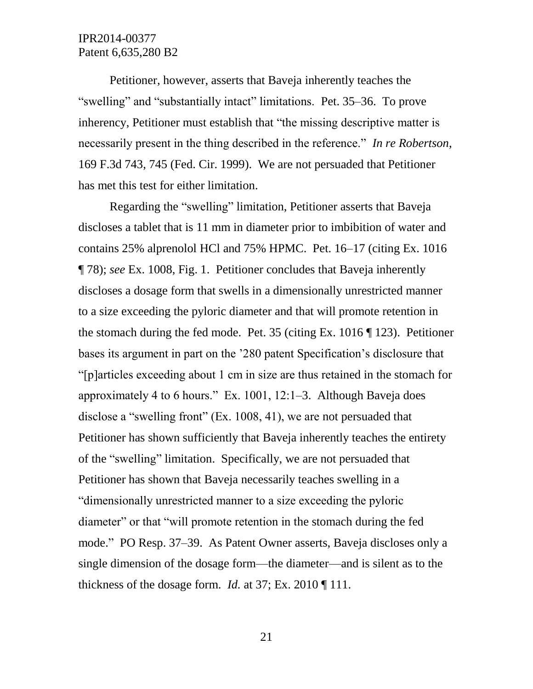Petitioner, however, asserts that Baveja inherently teaches the "swelling" and "substantially intact" limitations. Pet. 35–36. To prove inherency, Petitioner must establish that "the missing descriptive matter is necessarily present in the thing described in the reference." *In re Robertson*, 169 F.3d 743, 745 (Fed. Cir. 1999). We are not persuaded that Petitioner has met this test for either limitation.

Regarding the "swelling" limitation, Petitioner asserts that Baveja discloses a tablet that is 11 mm in diameter prior to imbibition of water and contains 25% alprenolol HCl and 75% HPMC. Pet. 16–17 (citing Ex. 1016 ¶ 78); *see* Ex. 1008, Fig. 1. Petitioner concludes that Baveja inherently discloses a dosage form that swells in a dimensionally unrestricted manner to a size exceeding the pyloric diameter and that will promote retention in the stomach during the fed mode. Pet. 35 (citing Ex. 1016 ¶ 123). Petitioner bases its argument in part on the '280 patent Specification's disclosure that "[p]articles exceeding about 1 cm in size are thus retained in the stomach for approximately 4 to 6 hours." Ex. 1001, 12:1–3. Although Baveja does disclose a "swelling front" (Ex. 1008, 41), we are not persuaded that Petitioner has shown sufficiently that Baveja inherently teaches the entirety of the "swelling" limitation. Specifically, we are not persuaded that Petitioner has shown that Baveja necessarily teaches swelling in a "dimensionally unrestricted manner to a size exceeding the pyloric diameter" or that "will promote retention in the stomach during the fed mode." PO Resp. 37–39. As Patent Owner asserts, Baveja discloses only a single dimension of the dosage form—the diameter—and is silent as to the thickness of the dosage form. *Id.* at 37; Ex. 2010 ¶ 111.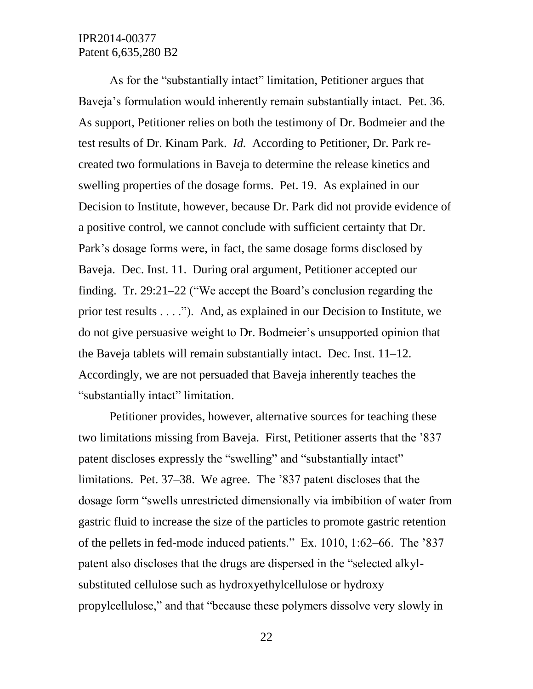As for the "substantially intact" limitation, Petitioner argues that Baveja's formulation would inherently remain substantially intact. Pet. 36. As support, Petitioner relies on both the testimony of Dr. Bodmeier and the test results of Dr. Kinam Park. *Id.* According to Petitioner, Dr. Park recreated two formulations in Baveja to determine the release kinetics and swelling properties of the dosage forms. Pet. 19. As explained in our Decision to Institute, however, because Dr. Park did not provide evidence of a positive control, we cannot conclude with sufficient certainty that Dr. Park's dosage forms were, in fact, the same dosage forms disclosed by Baveja. Dec. Inst. 11. During oral argument, Petitioner accepted our finding. Tr. 29:21–22 ("We accept the Board's conclusion regarding the prior test results . . . ."). And, as explained in our Decision to Institute, we do not give persuasive weight to Dr. Bodmeier's unsupported opinion that the Baveja tablets will remain substantially intact. Dec. Inst. 11–12. Accordingly, we are not persuaded that Baveja inherently teaches the "substantially intact" limitation.

Petitioner provides, however, alternative sources for teaching these two limitations missing from Baveja. First, Petitioner asserts that the '837 patent discloses expressly the "swelling" and "substantially intact" limitations. Pet. 37–38. We agree. The '837 patent discloses that the dosage form "swells unrestricted dimensionally via imbibition of water from gastric fluid to increase the size of the particles to promote gastric retention of the pellets in fed-mode induced patients." Ex. 1010, 1:62–66. The '837 patent also discloses that the drugs are dispersed in the "selected alkylsubstituted cellulose such as hydroxyethylcellulose or hydroxy propylcellulose," and that "because these polymers dissolve very slowly in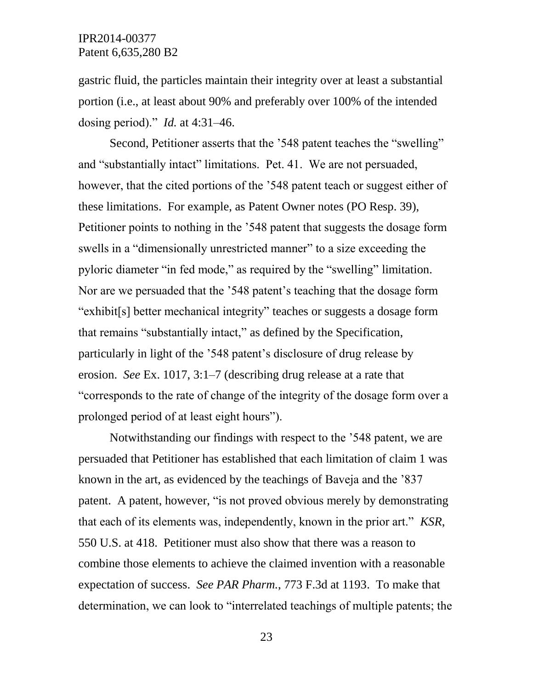gastric fluid, the particles maintain their integrity over at least a substantial portion (i.e., at least about 90% and preferably over 100% of the intended dosing period)." *Id.* at 4:31–46.

Second, Petitioner asserts that the '548 patent teaches the "swelling" and "substantially intact" limitations. Pet. 41. We are not persuaded, however, that the cited portions of the '548 patent teach or suggest either of these limitations. For example, as Patent Owner notes (PO Resp. 39), Petitioner points to nothing in the '548 patent that suggests the dosage form swells in a "dimensionally unrestricted manner" to a size exceeding the pyloric diameter "in fed mode," as required by the "swelling" limitation. Nor are we persuaded that the '548 patent's teaching that the dosage form "exhibit[s] better mechanical integrity" teaches or suggests a dosage form that remains "substantially intact," as defined by the Specification, particularly in light of the '548 patent's disclosure of drug release by erosion. *See* Ex. 1017, 3:1–7 (describing drug release at a rate that "corresponds to the rate of change of the integrity of the dosage form over a prolonged period of at least eight hours").

Notwithstanding our findings with respect to the '548 patent, we are persuaded that Petitioner has established that each limitation of claim 1 was known in the art, as evidenced by the teachings of Baveja and the '837 patent. A patent, however, "is not proved obvious merely by demonstrating that each of its elements was, independently, known in the prior art." *KSR*, 550 U.S. at 418. Petitioner must also show that there was a reason to combine those elements to achieve the claimed invention with a reasonable expectation of success. *See PAR Pharm.*, 773 F.3d at 1193. To make that determination, we can look to "interrelated teachings of multiple patents; the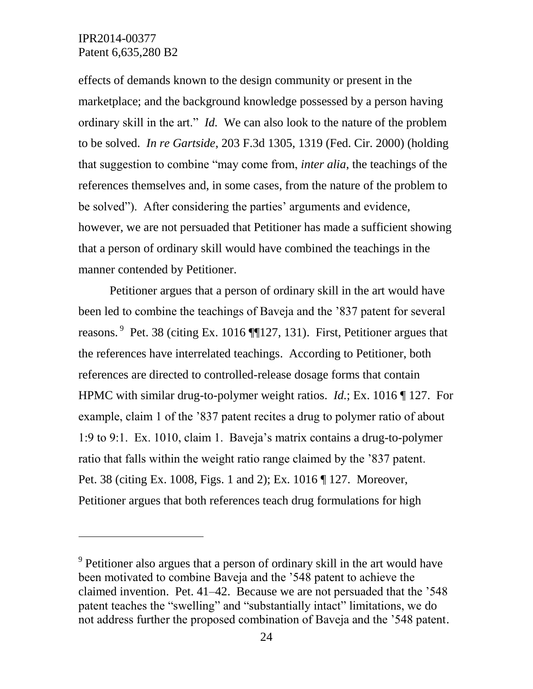l

effects of demands known to the design community or present in the marketplace; and the background knowledge possessed by a person having ordinary skill in the art." *Id.* We can also look to the nature of the problem to be solved. *In re Gartside*, 203 F.3d 1305, 1319 (Fed. Cir. 2000) (holding that suggestion to combine "may come from, *inter alia*, the teachings of the references themselves and, in some cases, from the nature of the problem to be solved"). After considering the parties' arguments and evidence, however, we are not persuaded that Petitioner has made a sufficient showing that a person of ordinary skill would have combined the teachings in the manner contended by Petitioner.

Petitioner argues that a person of ordinary skill in the art would have been led to combine the teachings of Baveja and the '837 patent for several reasons. <sup>9</sup> Pet. 38 (citing Ex. 1016 ¶127, 131). First, Petitioner argues that the references have interrelated teachings. According to Petitioner, both references are directed to controlled-release dosage forms that contain HPMC with similar drug-to-polymer weight ratios. *Id.*; Ex. 1016 ¶ 127. For example, claim 1 of the '837 patent recites a drug to polymer ratio of about 1:9 to 9:1. Ex. 1010, claim 1. Baveja's matrix contains a drug-to-polymer ratio that falls within the weight ratio range claimed by the '837 patent. Pet. 38 (citing Ex. 1008, Figs. 1 and 2); Ex. 1016 ¶ 127. Moreover, Petitioner argues that both references teach drug formulations for high

<sup>&</sup>lt;sup>9</sup> Petitioner also argues that a person of ordinary skill in the art would have been motivated to combine Baveja and the '548 patent to achieve the claimed invention. Pet. 41–42. Because we are not persuaded that the '548 patent teaches the "swelling" and "substantially intact" limitations, we do not address further the proposed combination of Baveja and the '548 patent.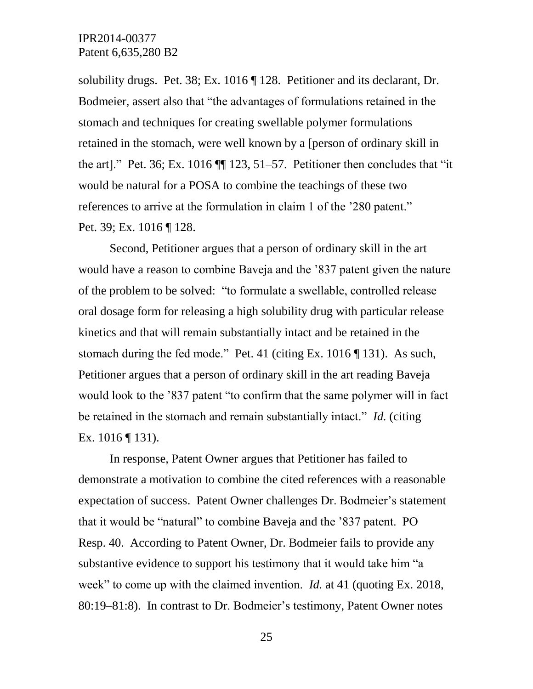solubility drugs. Pet. 38; Ex. 1016 ¶ 128. Petitioner and its declarant, Dr. Bodmeier, assert also that "the advantages of formulations retained in the stomach and techniques for creating swellable polymer formulations retained in the stomach, were well known by a [person of ordinary skill in the art]." Pet. 36; Ex. 1016 ¶¶ 123, 51–57. Petitioner then concludes that "it would be natural for a POSA to combine the teachings of these two references to arrive at the formulation in claim 1 of the '280 patent." Pet. 39; Ex. 1016 ¶ 128.

Second, Petitioner argues that a person of ordinary skill in the art would have a reason to combine Baveja and the '837 patent given the nature of the problem to be solved: "to formulate a swellable, controlled release oral dosage form for releasing a high solubility drug with particular release kinetics and that will remain substantially intact and be retained in the stomach during the fed mode." Pet. 41 (citing Ex. 1016 ¶ 131). As such, Petitioner argues that a person of ordinary skill in the art reading Baveja would look to the '837 patent "to confirm that the same polymer will in fact be retained in the stomach and remain substantially intact." *Id.* (citing Ex. 1016 ¶ 131).

In response, Patent Owner argues that Petitioner has failed to demonstrate a motivation to combine the cited references with a reasonable expectation of success. Patent Owner challenges Dr. Bodmeier's statement that it would be "natural" to combine Baveja and the '837 patent. PO Resp. 40. According to Patent Owner, Dr. Bodmeier fails to provide any substantive evidence to support his testimony that it would take him "a week" to come up with the claimed invention. *Id.* at 41 (quoting Ex. 2018, 80:19–81:8). In contrast to Dr. Bodmeier's testimony, Patent Owner notes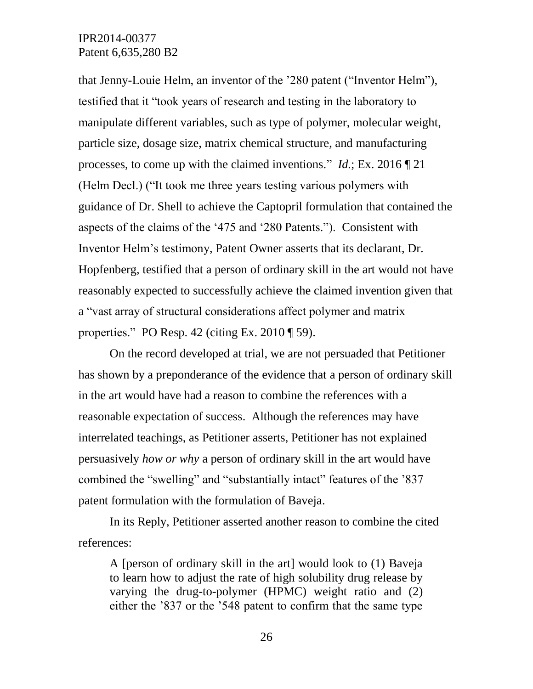that Jenny-Louie Helm, an inventor of the '280 patent ("Inventor Helm"), testified that it "took years of research and testing in the laboratory to manipulate different variables, such as type of polymer, molecular weight, particle size, dosage size, matrix chemical structure, and manufacturing processes, to come up with the claimed inventions." *Id.*; Ex. 2016 ¶ 21 (Helm Decl.) ("It took me three years testing various polymers with guidance of Dr. Shell to achieve the Captopril formulation that contained the aspects of the claims of the '475 and '280 Patents."). Consistent with Inventor Helm's testimony, Patent Owner asserts that its declarant, Dr. Hopfenberg, testified that a person of ordinary skill in the art would not have reasonably expected to successfully achieve the claimed invention given that a "vast array of structural considerations affect polymer and matrix properties." PO Resp. 42 (citing Ex. 2010 ¶ 59).

On the record developed at trial, we are not persuaded that Petitioner has shown by a preponderance of the evidence that a person of ordinary skill in the art would have had a reason to combine the references with a reasonable expectation of success. Although the references may have interrelated teachings, as Petitioner asserts, Petitioner has not explained persuasively *how or why* a person of ordinary skill in the art would have combined the "swelling" and "substantially intact" features of the '837 patent formulation with the formulation of Baveja.

In its Reply, Petitioner asserted another reason to combine the cited references:

A [person of ordinary skill in the art] would look to (1) Baveja to learn how to adjust the rate of high solubility drug release by varying the drug-to-polymer (HPMC) weight ratio and (2) either the '837 or the '548 patent to confirm that the same type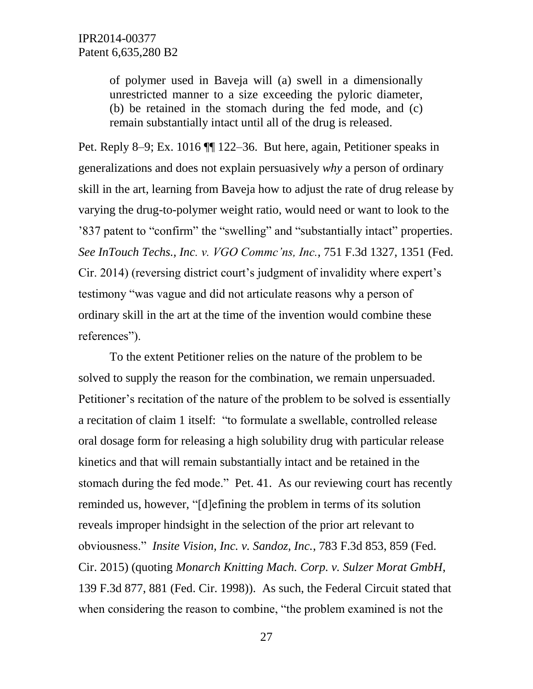of polymer used in Baveja will (a) swell in a dimensionally unrestricted manner to a size exceeding the pyloric diameter, (b) be retained in the stomach during the fed mode, and (c) remain substantially intact until all of the drug is released.

Pet. Reply 8–9; Ex. 1016 ¶¶ 122–36. But here, again, Petitioner speaks in generalizations and does not explain persuasively *why* a person of ordinary skill in the art, learning from Baveja how to adjust the rate of drug release by varying the drug-to-polymer weight ratio, would need or want to look to the '837 patent to "confirm" the "swelling" and "substantially intact" properties. *See InTouch Techs., Inc. v. VGO Commc'ns, Inc.*, 751 F.3d 1327, 1351 (Fed. Cir. 2014) (reversing district court's judgment of invalidity where expert's testimony "was vague and did not articulate reasons why a person of ordinary skill in the art at the time of the invention would combine these references").

To the extent Petitioner relies on the nature of the problem to be solved to supply the reason for the combination, we remain unpersuaded. Petitioner's recitation of the nature of the problem to be solved is essentially a recitation of claim 1 itself: "to formulate a swellable, controlled release oral dosage form for releasing a high solubility drug with particular release kinetics and that will remain substantially intact and be retained in the stomach during the fed mode." Pet. 41. As our reviewing court has recently reminded us, however, "[d]efining the problem in terms of its solution reveals improper hindsight in the selection of the prior art relevant to obviousness." *Insite Vision, Inc. v. Sandoz, Inc.*, 783 F.3d 853, 859 (Fed. Cir. 2015) (quoting *Monarch Knitting Mach. Corp. v. Sulzer Morat GmbH*, 139 F.3d 877, 881 (Fed. Cir. 1998)). As such, the Federal Circuit stated that when considering the reason to combine, "the problem examined is not the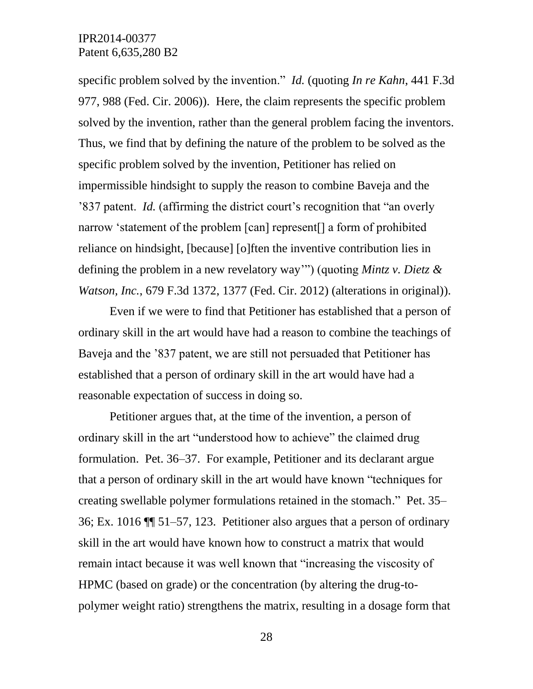specific problem solved by the invention." *Id.* (quoting *In re Kahn*, 441 F.3d 977, 988 (Fed. Cir. 2006)). Here, the claim represents the specific problem solved by the invention, rather than the general problem facing the inventors. Thus, we find that by defining the nature of the problem to be solved as the specific problem solved by the invention, Petitioner has relied on impermissible hindsight to supply the reason to combine Baveja and the '837 patent. *Id.* (affirming the district court's recognition that "an overly narrow 'statement of the problem [can] represent[] a form of prohibited reliance on hindsight, [because] [o]ften the inventive contribution lies in defining the problem in a new revelatory way'") (quoting *Mintz v. Dietz & Watson, Inc.*, 679 F.3d 1372, 1377 (Fed. Cir. 2012) (alterations in original)).

Even if we were to find that Petitioner has established that a person of ordinary skill in the art would have had a reason to combine the teachings of Baveja and the '837 patent, we are still not persuaded that Petitioner has established that a person of ordinary skill in the art would have had a reasonable expectation of success in doing so.

Petitioner argues that, at the time of the invention, a person of ordinary skill in the art "understood how to achieve" the claimed drug formulation. Pet. 36–37. For example, Petitioner and its declarant argue that a person of ordinary skill in the art would have known "techniques for creating swellable polymer formulations retained in the stomach." Pet. 35– 36; Ex. 1016 ¶¶ 51–57, 123. Petitioner also argues that a person of ordinary skill in the art would have known how to construct a matrix that would remain intact because it was well known that "increasing the viscosity of HPMC (based on grade) or the concentration (by altering the drug-topolymer weight ratio) strengthens the matrix, resulting in a dosage form that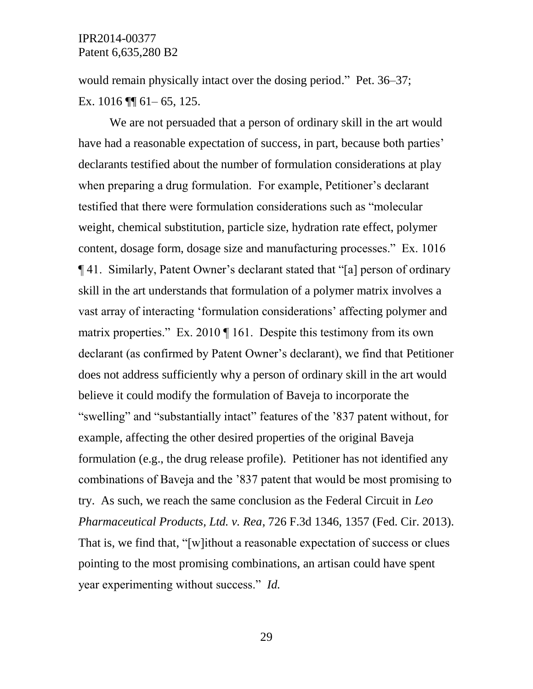would remain physically intact over the dosing period." Pet. 36–37; Ex. 1016 ¶¶ 61– 65, 125.

We are not persuaded that a person of ordinary skill in the art would have had a reasonable expectation of success, in part, because both parties' declarants testified about the number of formulation considerations at play when preparing a drug formulation. For example, Petitioner's declarant testified that there were formulation considerations such as "molecular weight, chemical substitution, particle size, hydration rate effect, polymer content, dosage form, dosage size and manufacturing processes." Ex. 1016 ¶ 41. Similarly, Patent Owner's declarant stated that "[a] person of ordinary skill in the art understands that formulation of a polymer matrix involves a vast array of interacting 'formulation considerations' affecting polymer and matrix properties." Ex. 2010 ¶ 161. Despite this testimony from its own declarant (as confirmed by Patent Owner's declarant), we find that Petitioner does not address sufficiently why a person of ordinary skill in the art would believe it could modify the formulation of Baveja to incorporate the "swelling" and "substantially intact" features of the '837 patent without, for example, affecting the other desired properties of the original Baveja formulation (e.g., the drug release profile). Petitioner has not identified any combinations of Baveja and the '837 patent that would be most promising to try. As such, we reach the same conclusion as the Federal Circuit in *Leo Pharmaceutical Products, Ltd. v. Rea*, 726 F.3d 1346, 1357 (Fed. Cir. 2013). That is, we find that, "[w]ithout a reasonable expectation of success or clues pointing to the most promising combinations, an artisan could have spent year experimenting without success." *Id.*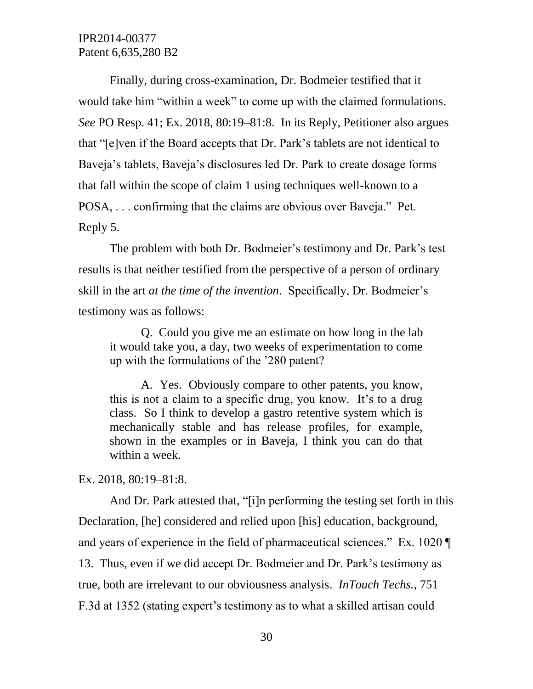Finally, during cross-examination, Dr. Bodmeier testified that it would take him "within a week" to come up with the claimed formulations. *See* PO Resp. 41; Ex. 2018, 80:19–81:8. In its Reply, Petitioner also argues that "[e]ven if the Board accepts that Dr. Park's tablets are not identical to Baveja's tablets, Baveja's disclosures led Dr. Park to create dosage forms that fall within the scope of claim 1 using techniques well-known to a POSA, . . . confirming that the claims are obvious over Baveja." Pet. Reply 5.

The problem with both Dr. Bodmeier's testimony and Dr. Park's test results is that neither testified from the perspective of a person of ordinary skill in the art *at the time of the invention*. Specifically, Dr. Bodmeier's testimony was as follows:

Q. Could you give me an estimate on how long in the lab it would take you, a day, two weeks of experimentation to come up with the formulations of the '280 patent?

A. Yes. Obviously compare to other patents, you know, this is not a claim to a specific drug, you know. It's to a drug class. So I think to develop a gastro retentive system which is mechanically stable and has release profiles, for example, shown in the examples or in Baveja, I think you can do that within a week.

Ex. 2018, 80:19–81:8.

And Dr. Park attested that, "[i]n performing the testing set forth in this Declaration, [he] considered and relied upon [his] education, background, and years of experience in the field of pharmaceutical sciences." Ex. 1020 ¶ 13. Thus, even if we did accept Dr. Bodmeier and Dr. Park's testimony as true, both are irrelevant to our obviousness analysis. *InTouch Techs.*, 751 F.3d at 1352 (stating expert's testimony as to what a skilled artisan could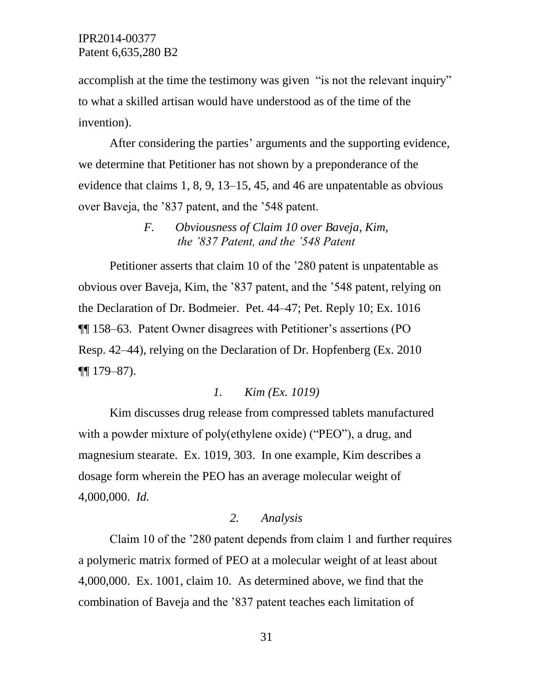accomplish at the time the testimony was given "is not the relevant inquiry" to what a skilled artisan would have understood as of the time of the invention).

After considering the parties' arguments and the supporting evidence, we determine that Petitioner has not shown by a preponderance of the evidence that claims 1, 8, 9, 13–15, 45, and 46 are unpatentable as obvious over Baveja, the '837 patent, and the '548 patent.

> *F. Obviousness of Claim 10 over Baveja, Kim, the '837 Patent, and the '548 Patent*

Petitioner asserts that claim 10 of the '280 patent is unpatentable as obvious over Baveja, Kim, the '837 patent, and the '548 patent, relying on the Declaration of Dr. Bodmeier. Pet. 44–47; Pet. Reply 10; Ex. 1016 ¶¶ 158–63. Patent Owner disagrees with Petitioner's assertions (PO Resp. 42–44), relying on the Declaration of Dr. Hopfenberg (Ex. 2010 ¶¶ 179–87).

## *1. Kim (Ex. 1019)*

Kim discusses drug release from compressed tablets manufactured with a powder mixture of poly(ethylene oxide) ("PEO"), a drug, and magnesium stearate. Ex. 1019, 303. In one example, Kim describes a dosage form wherein the PEO has an average molecular weight of 4,000,000. *Id.* 

## *2. Analysis*

Claim 10 of the '280 patent depends from claim 1 and further requires a polymeric matrix formed of PEO at a molecular weight of at least about 4,000,000. Ex. 1001, claim 10. As determined above, we find that the combination of Baveja and the '837 patent teaches each limitation of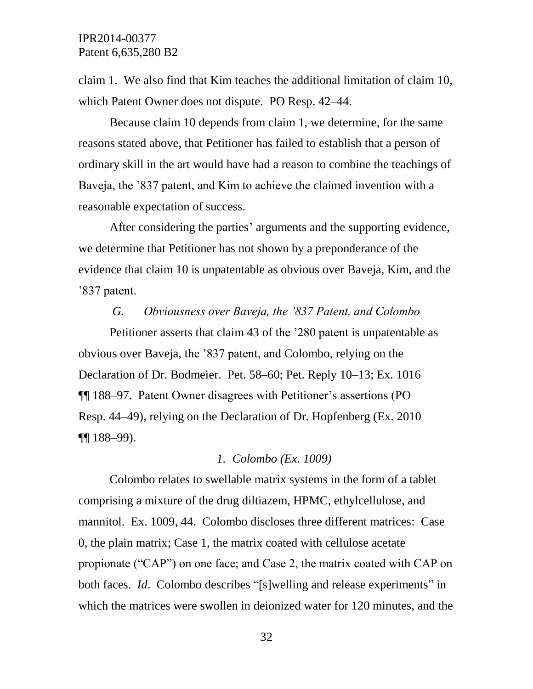claim 1. We also find that Kim teaches the additional limitation of claim 10, which Patent Owner does not dispute. PO Resp. 42–44.

Because claim 10 depends from claim 1, we determine, for the same reasons stated above, that Petitioner has failed to establish that a person of ordinary skill in the art would have had a reason to combine the teachings of Baveja, the '837 patent, and Kim to achieve the claimed invention with a reasonable expectation of success.

After considering the parties' arguments and the supporting evidence, we determine that Petitioner has not shown by a preponderance of the evidence that claim 10 is unpatentable as obvious over Baveja, Kim, and the '837 patent.

### *G. Obviousness over Baveja, the '837 Patent, and Colombo*

Petitioner asserts that claim 43 of the '280 patent is unpatentable as obvious over Baveja, the '837 patent, and Colombo, relying on the Declaration of Dr. Bodmeier. Pet. 58–60; Pet. Reply 10–13; Ex. 1016 ¶¶ 188–97. Patent Owner disagrees with Petitioner's assertions (PO Resp. 44–49), relying on the Declaration of Dr. Hopfenberg (Ex. 2010 ¶¶ 188–99).

### *1. Colombo (Ex. 1009)*

Colombo relates to swellable matrix systems in the form of a tablet comprising a mixture of the drug diltiazem, HPMC, ethylcellulose, and mannitol. Ex. 1009, 44. Colombo discloses three different matrices: Case 0, the plain matrix; Case 1, the matrix coated with cellulose acetate propionate ("CAP") on one face; and Case 2, the matrix coated with CAP on both faces. *Id*. Colombo describes "[s]welling and release experiments" in which the matrices were swollen in deionized water for 120 minutes, and the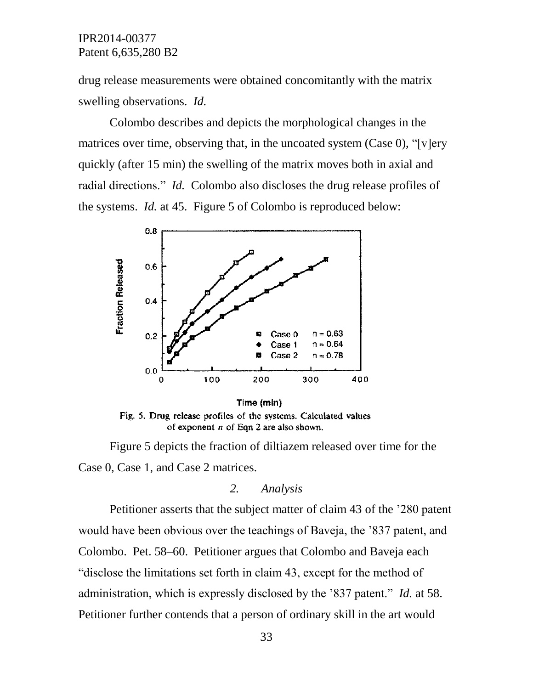drug release measurements were obtained concomitantly with the matrix swelling observations. *Id.*

Colombo describes and depicts the morphological changes in the matrices over time, observing that, in the uncoated system (Case 0), "[v]ery quickly (after 15 min) the swelling of the matrix moves both in axial and radial directions." *Id.* Colombo also discloses the drug release profiles of the systems. *Id.* at 45. Figure 5 of Colombo is reproduced below:



Time (min) Fig. 5. Drug release profiles of the systems. Calculated values of exponent  $n$  of Eqn 2 are also shown.

Figure 5 depicts the fraction of diltiazem released over time for the Case 0, Case 1, and Case 2 matrices.

#### *2. Analysis*

Petitioner asserts that the subject matter of claim 43 of the '280 patent would have been obvious over the teachings of Baveja, the '837 patent, and Colombo. Pet. 58–60. Petitioner argues that Colombo and Baveja each "disclose the limitations set forth in claim 43, except for the method of administration, which is expressly disclosed by the '837 patent." *Id.* at 58. Petitioner further contends that a person of ordinary skill in the art would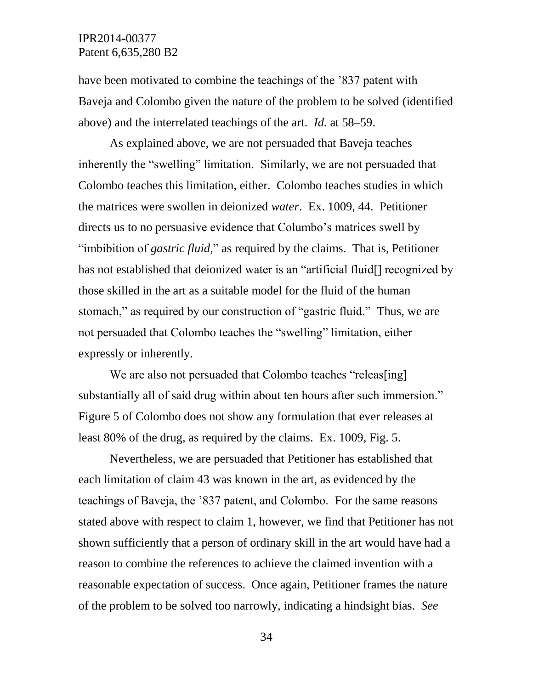have been motivated to combine the teachings of the '837 patent with Baveja and Colombo given the nature of the problem to be solved (identified above) and the interrelated teachings of the art. *Id.* at 58–59.

As explained above, we are not persuaded that Baveja teaches inherently the "swelling" limitation. Similarly, we are not persuaded that Colombo teaches this limitation, either. Colombo teaches studies in which the matrices were swollen in deionized *water*. Ex. 1009, 44. Petitioner directs us to no persuasive evidence that Columbo's matrices swell by "imbibition of *gastric fluid*," as required by the claims. That is, Petitioner has not established that deionized water is an "artificial fluid[] recognized by those skilled in the art as a suitable model for the fluid of the human stomach," as required by our construction of "gastric fluid." Thus, we are not persuaded that Colombo teaches the "swelling" limitation, either expressly or inherently.

We are also not persuaded that Colombo teaches "releas[ing] substantially all of said drug within about ten hours after such immersion." Figure 5 of Colombo does not show any formulation that ever releases at least 80% of the drug, as required by the claims. Ex. 1009, Fig. 5.

Nevertheless, we are persuaded that Petitioner has established that each limitation of claim 43 was known in the art, as evidenced by the teachings of Baveja, the '837 patent, and Colombo. For the same reasons stated above with respect to claim 1, however, we find that Petitioner has not shown sufficiently that a person of ordinary skill in the art would have had a reason to combine the references to achieve the claimed invention with a reasonable expectation of success. Once again, Petitioner frames the nature of the problem to be solved too narrowly, indicating a hindsight bias. *See*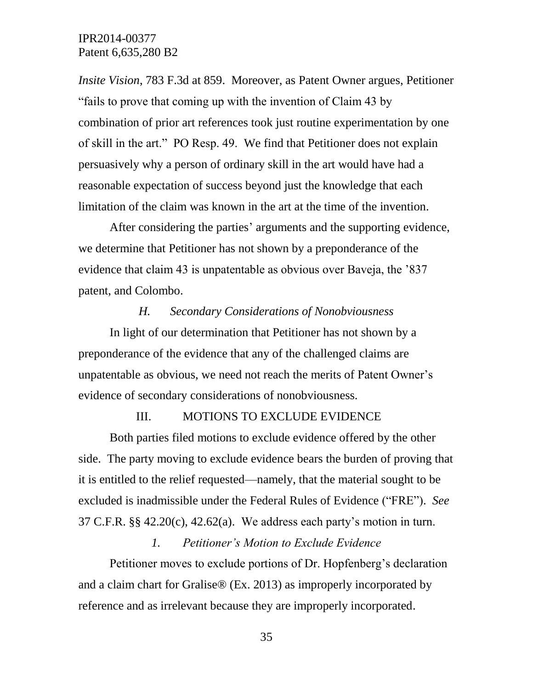*Insite Vision*, 783 F.3d at 859. Moreover, as Patent Owner argues, Petitioner "fails to prove that coming up with the invention of Claim 43 by combination of prior art references took just routine experimentation by one of skill in the art." PO Resp. 49. We find that Petitioner does not explain persuasively why a person of ordinary skill in the art would have had a reasonable expectation of success beyond just the knowledge that each limitation of the claim was known in the art at the time of the invention.

After considering the parties' arguments and the supporting evidence, we determine that Petitioner has not shown by a preponderance of the evidence that claim 43 is unpatentable as obvious over Baveja, the '837 patent, and Colombo.

### *H. Secondary Considerations of Nonobviousness*

In light of our determination that Petitioner has not shown by a preponderance of the evidence that any of the challenged claims are unpatentable as obvious, we need not reach the merits of Patent Owner's evidence of secondary considerations of nonobviousness.

#### III. MOTIONS TO EXCLUDE EVIDENCE

Both parties filed motions to exclude evidence offered by the other side. The party moving to exclude evidence bears the burden of proving that it is entitled to the relief requested—namely, that the material sought to be excluded is inadmissible under the Federal Rules of Evidence ("FRE"). *See* 37 C.F.R. §§ 42.20(c), 42.62(a). We address each party's motion in turn.

### *1. Petitioner's Motion to Exclude Evidence*

Petitioner moves to exclude portions of Dr. Hopfenberg's declaration and a claim chart for Gralise® (Ex. 2013) as improperly incorporated by reference and as irrelevant because they are improperly incorporated.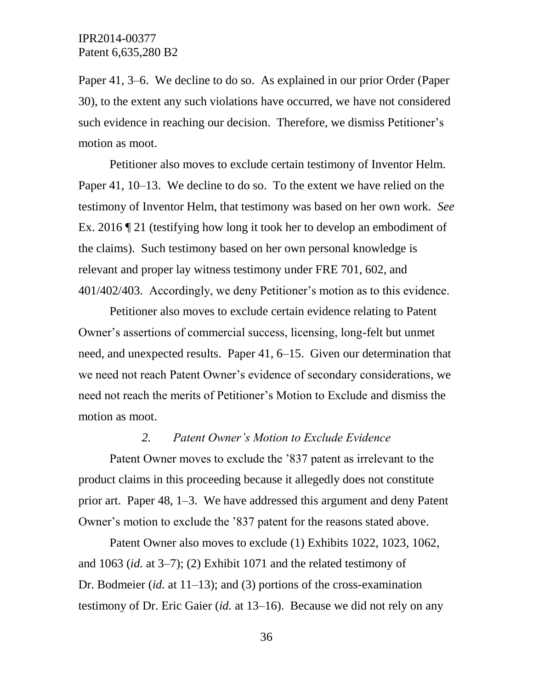Paper 41, 3–6. We decline to do so. As explained in our prior Order (Paper 30), to the extent any such violations have occurred, we have not considered such evidence in reaching our decision. Therefore, we dismiss Petitioner's motion as moot.

Petitioner also moves to exclude certain testimony of Inventor Helm. Paper 41, 10–13. We decline to do so. To the extent we have relied on the testimony of Inventor Helm, that testimony was based on her own work. *See*  Ex. 2016 ¶ 21 (testifying how long it took her to develop an embodiment of the claims). Such testimony based on her own personal knowledge is relevant and proper lay witness testimony under FRE 701, 602, and 401/402/403. Accordingly, we deny Petitioner's motion as to this evidence.

Petitioner also moves to exclude certain evidence relating to Patent Owner's assertions of commercial success, licensing, long-felt but unmet need, and unexpected results. Paper 41, 6–15. Given our determination that we need not reach Patent Owner's evidence of secondary considerations, we need not reach the merits of Petitioner's Motion to Exclude and dismiss the motion as moot.

#### *2. Patent Owner's Motion to Exclude Evidence*

Patent Owner moves to exclude the '837 patent as irrelevant to the product claims in this proceeding because it allegedly does not constitute prior art. Paper 48, 1–3. We have addressed this argument and deny Patent Owner's motion to exclude the '837 patent for the reasons stated above.

Patent Owner also moves to exclude (1) Exhibits 1022, 1023, 1062, and 1063 (*id.* at 3–7); (2) Exhibit 1071 and the related testimony of Dr. Bodmeier (*id.* at 11–13); and (3) portions of the cross-examination testimony of Dr. Eric Gaier (*id.* at 13–16). Because we did not rely on any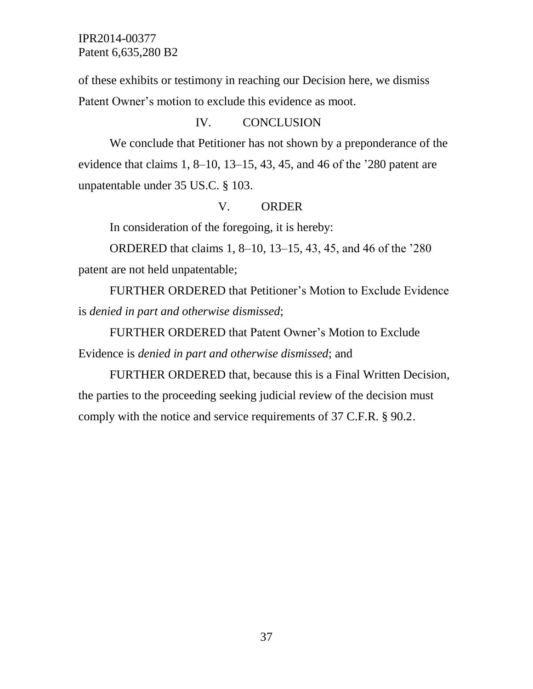of these exhibits or testimony in reaching our Decision here, we dismiss Patent Owner's motion to exclude this evidence as moot.

## IV. CONCLUSION

We conclude that Petitioner has not shown by a preponderance of the evidence that claims 1, 8–10, 13–15, 43, 45, and 46 of the '280 patent are unpatentable under 35 US.C. § 103.

## V. ORDER

In consideration of the foregoing, it is hereby:

ORDERED that claims 1, 8–10, 13–15, 43, 45, and 46 of the '280 patent are not held unpatentable;

FURTHER ORDERED that Petitioner's Motion to Exclude Evidence is *denied in part and otherwise dismissed*;

FURTHER ORDERED that Patent Owner's Motion to Exclude Evidence is *denied in part and otherwise dismissed*; and

FURTHER ORDERED that, because this is a Final Written Decision, the parties to the proceeding seeking judicial review of the decision must comply with the notice and service requirements of 37 C.F.R. § 90.2.